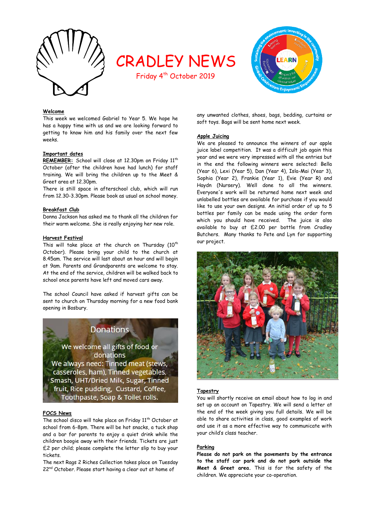

# CRADLEY NEWS

Friday 4<sup>th</sup> October 2019



## **Welcome**

This week we welcomed Gabriel to Year 5. We hope he has a happy time with us and we are looking forward to getting to know him and his family over the next few weeks.

#### **Important dates**

REMEMBER: School will close at 12.30pm on Friday 11<sup>th</sup> October (after the children have had lunch) for staff training. We will bring the children up to the Meet & Greet area at 12.30pm.

There is still space in afterschool club, which will run from 12.30-3.30pm. Please book as usual on school money.

## **Breakfast Club**

Donna Jackson has asked me to thank all the children for their warm welcome. She is really enjoying her new role.

#### **Harvest Festival**

This will take place at the church on Thursday  $(10^{th}$ October). Please bring your child to the church at 8.45am. The service will last about an hour and will begin at 9am. Parents and Grandparents are welcome to stay. At the end of the service, children will be walked back to school once parents have left and moved cars away.

The school Council have asked if harvest gifts can be sent to church on Thursday morning for a new food bank opening in Bosbury.



We welcome all gifts of food or donations We always need: Tinned meat (stews, casseroles, ham), Tinned vegetables, Smash, UHT/Dried Milk, Sugar, Tinned fruit, Rice pudding, Custard, Coffee, Toothpaste, Soap & Toilet rolls.

#### **FOCS News**

The school disco will take place on Friday 11<sup>th</sup> October at school from 6-8pm. There will be hot snacks, a tuck shop and a bar for parents to enjoy a quiet drink while the children boogie away with their friends. Tickets are just £2 per child; please complete the letter slip to buy your tickets.

The next Rags 2 Riches Collection takes place on Tuesday 22<sup>nd</sup> October. Please start having a clear out at home of

any unwanted clothes, shoes, bags, bedding, curtains or soft toys. Bags will be sent home next week.

#### **Apple Juicing**

We are pleased to announce the winners of our apple juice label competition. It was a difficult job again this year and we were very impressed with all the entries but in the end the following winners were selected: Bella (Year 6), Lexi (Year 5), Dan (Year 4), Isla-Mai (Year 3), Sophia (Year 2), Frankie (Year 1), Evie (Year R) and Haydn (Nursery). Well done to all the winners. Everyone's work will be returned home next week and unlabelled bottles are available for purchase if you would like to use your own designs. An initial order of up to 5 bottles per family can be made using the order form which you should have received. The juice is also available to buy at £2.00 per bottle from Cradley Butchers. Many thanks to Pete and Lyn for supporting our project.



## **Tapestry**

You will shortly receive an email about how to log in and set up an account on Tapestry. We will send a letter at the end of the week giving you full details. We will be able to share activities in class, good examples of work and use it as a more effective way to communicate with your child's class teacher.

#### **Parking**

**Please do not park on the pavements by the entrance to the staff car park and do not park outside the Meet & Greet area.** This is for the safety of the children. We appreciate your co-operation.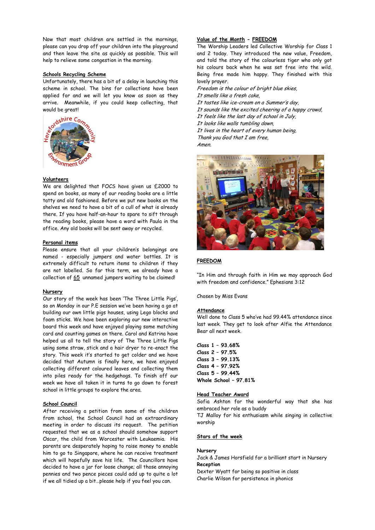Now that most children are settled in the mornings, please can you drop off your children into the playground and then leave the site as quickly as possible. This will help to relieve some congestion in the morning.

#### **Schools Recycling Scheme**

Unfortunately, there has a bit of a delay in launching this scheme in school. The bins for collections have been applied for and we will let you know as soon as they arrive. Meanwhile, if you could keep collecting, that would be great!



#### **Volunteers**

We are delighted that FOCS have given us £2000 to spend on books, as many of our reading books are a little tatty and old fashioned. Before we put new books on the shelves we need to have a bit of a cull of what is already there. If you have half-an-hour to spare to sift through the reading books, please have a word with Paula in the office. Any old books will be sent away or recycled.

#### **Personal items**

Please ensure that all your children's belongings are named - especially jumpers and water bottles. It is extremely difficult to return items to children if they are not labelled. So far this term, we already have a collection of 65 unnamed jumpers waiting to be claimed!

#### **Nursery**

Our story of the week has been 'The Three Little Pigs', so on Monday in our P.E session we've been having a go at building our own little pigs houses, using Lego blocks and foam sticks. We have been exploring our new interactive board this week and have enjoyed playing some matching card and counting games on there. Carol and Katrina have helped us all to tell the story of The Three Little Pigs using some straw, stick and a hair dryer to re-enact the story. This week it's started to get colder and we have decided that Autumn is finally here, we have enjoyed collecting different coloured leaves and collecting them into piles ready for the hedgehogs. To finish off our week we have all taken it in turns to go down to forest school in little groups to explore the area.

#### **School Council**

After receiving a petition from some of the children from school, the School Council had an extraordinary meeting in order to discuss its request. The petition requested that we as a school should somehow support Oscar, the child from Worcester with Leukaemia. His parents are desperately hoping to raise money to enable him to go to Singapore, where he can receive treatment which will hopefully save his life. The Councillors have decided to have a jar for loose change; all those annoying pennies and two pence pieces could add up to quite a lot if we all tidied up a bit…please help if you feel you can.

## **Value of the Month - FREEDOM**

The Worship Leaders led Collective Worship for Class 1 and 2 today. They introduced the new value, Freedom, and told the story of the colourless tiger who only got his colours back when he was set free into the wild. Being free made him happy. They finished with this lovely prayer.

Freedom is the colour of bright blue skies, It smells like a fresh cake, It tastes like ice-cream on a Summer's day, It sounds like the excited cheering of a happy crowd, It feels like the last day of school in July, It looks like walls tumbling down, It lives in the heart of every human being, Thank you God that I am free, Amen.



## **FREEDOM**

"In Him and through faith in Him we may approach God with freedom and confidence." Ephesians 3:12

Chosen by Miss Evans

# **Attendance**

Well done to Class 5 who've had 99.44% attendance since last week. They get to look after Alfie the Attendance Bear all next week.

**Class 1 – 93.68% Class 2 – 97.5% Class 3 – 99.13% Class 4 – 97.92% Class 5 – 99.44% Whole School – 97.81%**

## **Head Teacher Award**

Sofia Ashton for the wonderful way that she has embraced her role as a buddy

TJ Malloy for his enthusiasm while singing in collective worship

## **Stars of the week**

# **Nursery**

Jack & James Horsfield for a brilliant start in Nursery **Reception**

Dexter Wyatt for being so positive in class Charlie Wilson for persistence in phonics